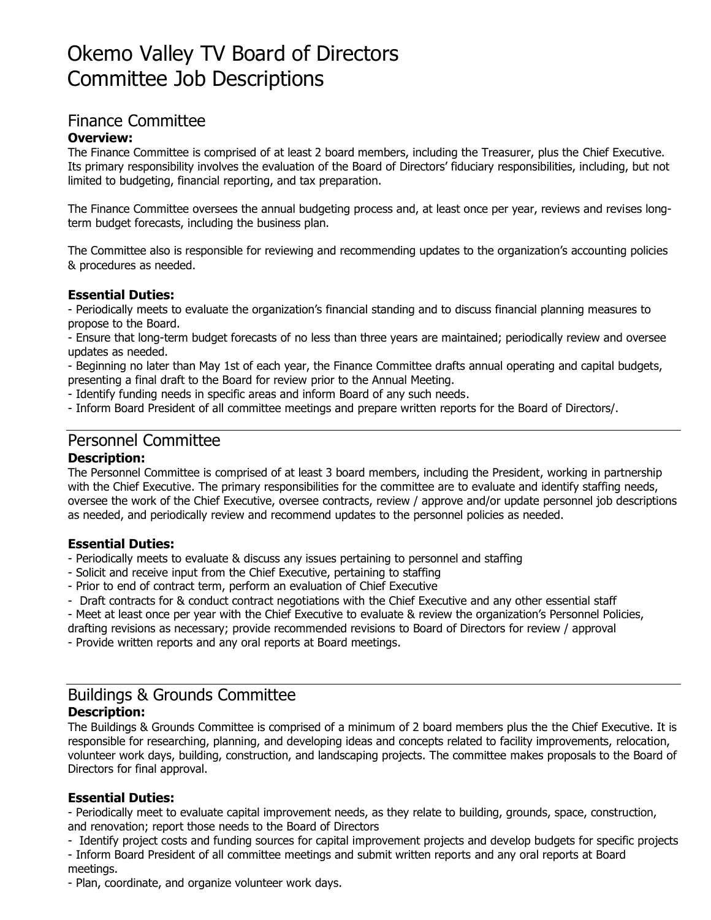# Okemo Valley TV Board of Directors Committee Job Descriptions

# Finance Committee

#### **Overview:**

The Finance Committee is comprised of at least 2 board members, including the Treasurer, plus the Chief Executive. Its primary responsibility involves the evaluation of the Board of Directors' fiduciary responsibilities, including, but not limited to budgeting, financial reporting, and tax preparation.

The Finance Committee oversees the annual budgeting process and, at least once per year, reviews and revises longterm budget forecasts, including the business plan.

The Committee also is responsible for reviewing and recommending updates to the organization's accounting policies & procedures as needed.

#### **Essential Duties:**

- Periodically meets to evaluate the organization's financial standing and to discuss financial planning measures to propose to the Board.

- Ensure that long-term budget forecasts of no less than three years are maintained; periodically review and oversee updates as needed.

- Beginning no later than May 1st of each year, the Finance Committee drafts annual operating and capital budgets, presenting a final draft to the Board for review prior to the Annual Meeting.

- Identify funding needs in specific areas and inform Board of any such needs.

- Inform Board President of all committee meetings and prepare written reports for the Board of Directors/.

# Personnel Committee

#### **Description:**

The Personnel Committee is comprised of at least 3 board members, including the President, working in partnership with the Chief Executive. The primary responsibilities for the committee are to evaluate and identify staffing needs, oversee the work of the Chief Executive, oversee contracts, review / approve and/or update personnel job descriptions as needed, and periodically review and recommend updates to the personnel policies as needed.

#### **Essential Duties:**

- Periodically meets to evaluate & discuss any issues pertaining to personnel and staffing
- Solicit and receive input from the Chief Executive, pertaining to staffing
- Prior to end of contract term, perform an evaluation of Chief Executive
- Draft contracts for & conduct contract negotiations with the Chief Executive and any other essential staff

- Meet at least once per year with the Chief Executive to evaluate & review the organization's Personnel Policies,

drafting revisions as necessary; provide recommended revisions to Board of Directors for review / approval

- Provide written reports and any oral reports at Board meetings.

# Buildings & Grounds Committee **Description:**

The Buildings & Grounds Committee is comprised of a minimum of 2 board members plus the the Chief Executive. It is responsible for researching, planning, and developing ideas and concepts related to facility improvements, relocation, volunteer work days, building, construction, and landscaping projects. The committee makes proposals to the Board of Directors for final approval.

#### **Essential Duties:**

- Periodically meet to evaluate capital improvement needs, as they relate to building, grounds, space, construction, and renovation; report those needs to the Board of Directors

- Identify project costs and funding sources for capital improvement projects and develop budgets for specific projects - Inform Board President of all committee meetings and submit written reports and any oral reports at Board

#### meetings.

- Plan, coordinate, and organize volunteer work days.